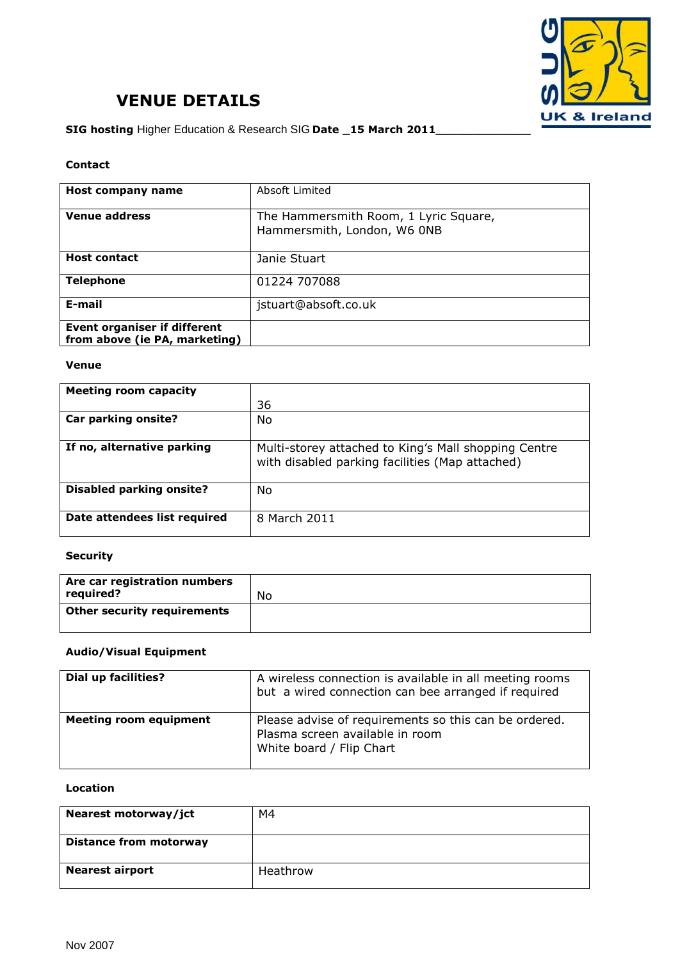

# **VENUE DETAILS**

**SIG hosting** Higher Education & Research SIG **Date \_15 March 2011\_\_\_\_\_\_\_\_\_\_\_\_\_**

#### **Contact**

| <b>Host company name</b>                                             | Absoft Limited                                                       |
|----------------------------------------------------------------------|----------------------------------------------------------------------|
| <b>Venue address</b>                                                 | The Hammersmith Room, 1 Lyric Square,<br>Hammersmith, London, W6 ONB |
| <b>Host contact</b>                                                  | Janie Stuart                                                         |
| <b>Telephone</b>                                                     | 01224 707088                                                         |
| E-mail                                                               | jstuart@absoft.co.uk                                                 |
| <b>Event organiser if different</b><br>from above (ie PA, marketing) |                                                                      |

#### **Venue**

| Meeting room capacity           |                                                                                                         |
|---------------------------------|---------------------------------------------------------------------------------------------------------|
|                                 | 36                                                                                                      |
| Car parking onsite?             | No                                                                                                      |
| If no, alternative parking      | Multi-storey attached to King's Mall shopping Centre<br>with disabled parking facilities (Map attached) |
| <b>Disabled parking onsite?</b> | No                                                                                                      |
| Date attendees list required    | 8 March 2011                                                                                            |

### **Security**

| Are car registration numbers<br>required? | No |
|-------------------------------------------|----|
| <b>Other security requirements</b>        |    |

# **Audio/Visual Equipment**

| Dial up facilities?           | A wireless connection is available in all meeting rooms<br>but a wired connection can bee arranged if required       |
|-------------------------------|----------------------------------------------------------------------------------------------------------------------|
| <b>Meeting room equipment</b> | Please advise of requirements so this can be ordered.<br>Plasma screen available in room<br>White board / Flip Chart |

#### **Location**

| Nearest motorway/jct          | M4       |
|-------------------------------|----------|
| <b>Distance from motorway</b> |          |
| <b>Nearest airport</b>        | Heathrow |